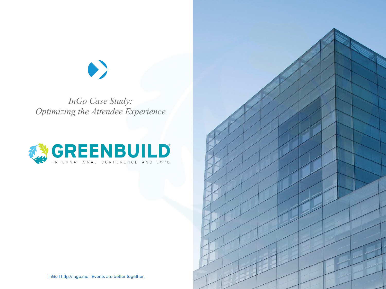*InGo Case Study: Optimizing the Attendee Experience*





InGo | http://ingo.me | Events are better together.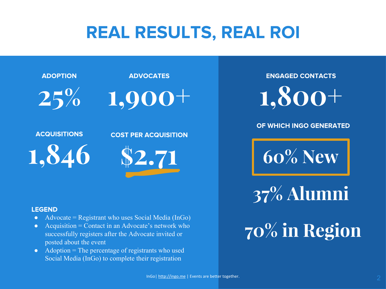## REAL RESULTS, REAL ROI



#### **LEGEND**

- Advocate = Registrant who uses Social Media (InGo)
- Acquisition = Contact in an Advocate's network who successfully registers after the Advocate invited or posted about the event
- $\bullet$  Adoption = The percentage of registrants who used Social Media (InGo) to complete their registration

**ENGAGED CONTACTS** 

#### OF WHICH INGO GENERATED

**60% New**

**37% Alumni**

# **70% in Region**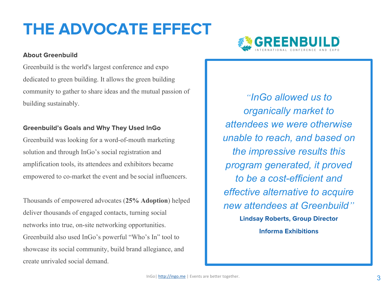## THE ADVOCATE EFFECT

### **About Greenbuild**

Greenbuild is the world's largest conference and expo dedicated to green building. It allows the green building community to gather to share ideas and the mutual passion of building sustainably.

### **Greenbuild's Goals and Why They Used InGo**

Greenbuild was looking for a word-of-mouth marketing solution and through InGo's social registration and amplification tools, its attendees and exhibitors became empowered to co-market the event and be social influencers.

Thousands of empowered advocates (**25% Adoption**) helped deliver thousands of engaged contacts, turning social networks into true, on-site networking opportunities. Greenbuild also used InGo's powerful "Who's In" tool to showcase its social community, build brand allegiance, and create unrivaled social demand.



*"InGo allowed us to organically market to attendees we were otherwise unable to reach, and based on the impressive results this program generated, it proved to be a cost-efficient and effective alternative to acquire new attendees at Greenbuild"* **Lindsay Roberts, Group Director Informa Exhibitions**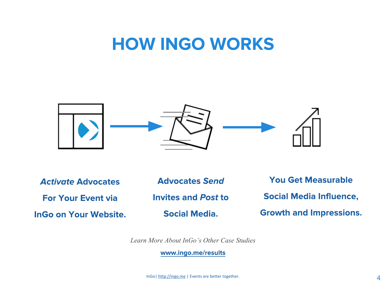### **HOW INGO WORKS**



**Activate Advocates For Your Event via InGo on Your Website.** 

**Advocates Send Invites and Post to** 

**Social Media.** 

**You Get Measurable Social Media Influence, Growth and Impressions.** 

*Learn More About InGo's Other Case Studies*

www.ingo.me/results